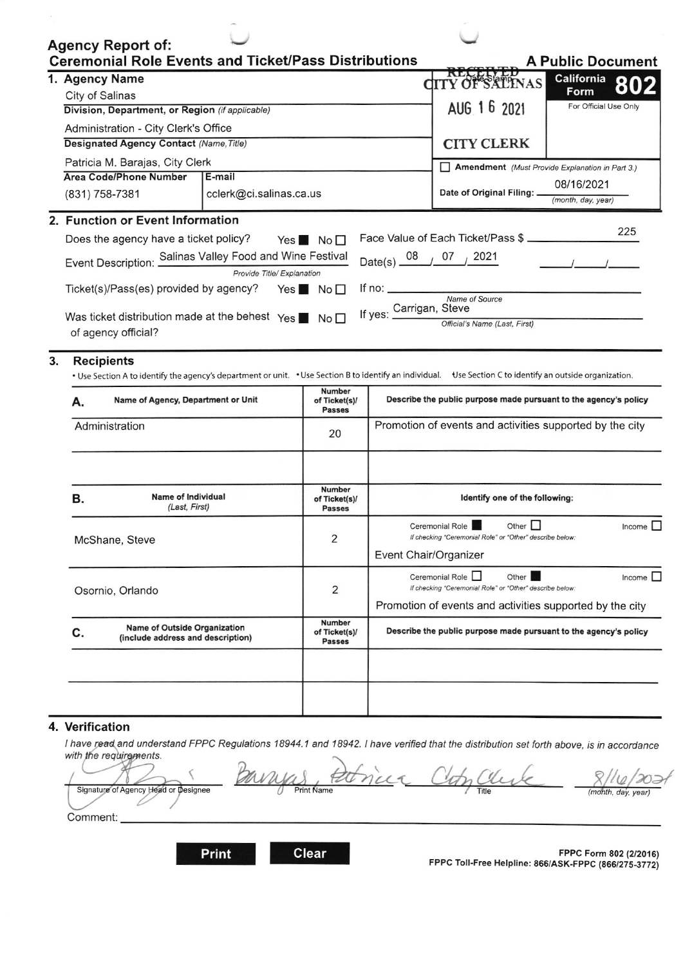|                                                                                              | <b>Agency Report of:</b><br><b>Ceremonial Role Events and Ticket/Pass Distributions</b>                                                                                         |                                 | <b>A Public Document</b>                 |                                                                  |                                                                                                 |  |        |
|----------------------------------------------------------------------------------------------|---------------------------------------------------------------------------------------------------------------------------------------------------------------------------------|---------------------------------|------------------------------------------|------------------------------------------------------------------|-------------------------------------------------------------------------------------------------|--|--------|
|                                                                                              | 1. Agency Name                                                                                                                                                                  |                                 |                                          |                                                                  |                                                                                                 |  |        |
|                                                                                              | City of Salinas                                                                                                                                                                 |                                 |                                          | <b>OF SALINAS</b>                                                | California 802                                                                                  |  |        |
|                                                                                              | Division, Department, or Region (if applicable)                                                                                                                                 |                                 |                                          | AUG 1 6 2021                                                     | For Official Use Only                                                                           |  |        |
|                                                                                              | Administration - City Clerk's Office                                                                                                                                            |                                 |                                          |                                                                  |                                                                                                 |  |        |
|                                                                                              | <b>Designated Agency Contact (Name, Title)</b>                                                                                                                                  |                                 |                                          |                                                                  | <b>CITY CLERK</b>                                                                               |  |        |
|                                                                                              | Patricia M. Barajas, City Clerk                                                                                                                                                 |                                 |                                          |                                                                  | Amendment (Must Provide Explanation in Part 3.)                                                 |  |        |
|                                                                                              | <b>Area Code/Phone Number</b>                                                                                                                                                   |                                 |                                          |                                                                  | 08/16/2021                                                                                      |  |        |
|                                                                                              | (831) 758-7381                                                                                                                                                                  | cclerk@ci.salinas.ca.us         |                                          |                                                                  | Date of Original Filing: _<br>(month, day, year)                                                |  |        |
|                                                                                              | 2. Function or Event Information                                                                                                                                                |                                 |                                          |                                                                  |                                                                                                 |  | 225    |
|                                                                                              | Does the agency have a ticket policy?                                                                                                                                           | Yes $\blacksquare$ No $\square$ |                                          | Face Value of Each Ticket/Pass \$                                |                                                                                                 |  |        |
|                                                                                              | Event Description: Salinas Valley Food and Wine Festival                                                                                                                        | Provide Title/ Explanation      |                                          | Date(s) $08 / 07 / 2021$                                         |                                                                                                 |  |        |
| Ticket(s)/Pass(es) provided by agency?<br>If no: $\sqrt{2\pi}$<br>Yes $No$<br>Name of Source |                                                                                                                                                                                 |                                 |                                          |                                                                  |                                                                                                 |  |        |
|                                                                                              | Was ticket distribution made at the behest $\gamma_{\text{es}}$ $\blacksquare$ No $\blacksquare$                                                                                |                                 | If yes: Carrigan, Steve                  |                                                                  |                                                                                                 |  |        |
|                                                                                              | of agency official?                                                                                                                                                             |                                 |                                          |                                                                  | Official's Name (Last, First)                                                                   |  |        |
|                                                                                              |                                                                                                                                                                                 |                                 |                                          |                                                                  |                                                                                                 |  |        |
| 3.                                                                                           | <b>Recipients</b><br>. Use Section A to identify the agency's department or unit. . Use Section B to identify an individual. Use Section C to identify an outside organization. |                                 |                                          |                                                                  |                                                                                                 |  |        |
|                                                                                              | Name of Agency, Department or Unit<br>Α.                                                                                                                                        |                                 | Number<br>of Ticket(s)/<br><b>Passes</b> | Describe the public purpose made pursuant to the agency's policy |                                                                                                 |  |        |
|                                                                                              | Administration                                                                                                                                                                  |                                 | 20                                       |                                                                  | Promotion of events and activities supported by the city                                        |  |        |
|                                                                                              |                                                                                                                                                                                 |                                 |                                          |                                                                  |                                                                                                 |  |        |
|                                                                                              | <b>Name of Individual</b><br>В.<br>(Last, First)                                                                                                                                |                                 | Number<br>of Ticket(s)/<br><b>Passes</b> | Identify one of the following:                                   |                                                                                                 |  |        |
|                                                                                              | McShane, Steve                                                                                                                                                                  |                                 | 2                                        |                                                                  | Ceremonial Role<br>Other<br>If checking "Ceremonial Role" or "Other" describe below:            |  | Income |
|                                                                                              |                                                                                                                                                                                 |                                 |                                          | Event Chair/Organizer                                            |                                                                                                 |  |        |
|                                                                                              | Osornio, Orlando                                                                                                                                                                |                                 | $\overline{2}$                           |                                                                  | Ceremonial Role <b>D</b><br>Other  <br>If checking "Ceremonial Role" or "Other" describe below: |  | Income |
|                                                                                              | <b>Name of Outside Organization</b><br>C.<br>(include address and description)                                                                                                  |                                 |                                          |                                                                  | Promotion of events and activities supported by the city                                        |  |        |
|                                                                                              |                                                                                                                                                                                 |                                 | Number<br>of Ticket(s)/<br><b>Passes</b> |                                                                  | Describe the public purpose made pursuant to the agency's policy                                |  |        |
|                                                                                              |                                                                                                                                                                                 |                                 |                                          |                                                                  |                                                                                                 |  |        |

## 4. Verification

I have read and understand FPPC Regulations 18944.1 and 18942. I have verified that the distribution set forth above, is in accordance with the requirements.

Signature of Agency Head or Designee **Print Name** Title (month, day, year)  $\iota$ Comment:

**Clear** 

Print

FPPC Form 802 (2/2016)<br>FPPC Toll-Free Helpline: 866/ASK-FPPC (866/275-3772)